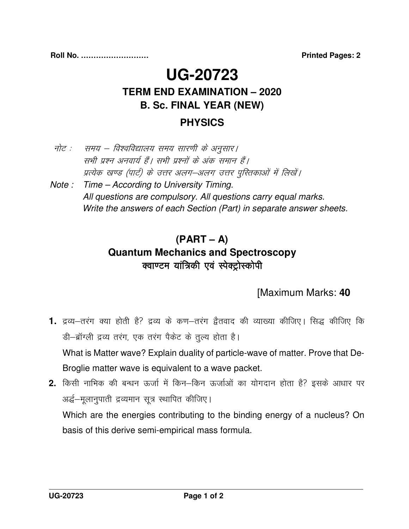# **UG-20723 TERM END EXAMINATION – 2020 B. Sc. FINAL YEAR (NEW)**

#### **PHYSICS**

- नोट : समय विश्वविद्यालय समय सारणी के अनुसार | सभी प्रश्न अनवार्य हैं। सभी प्रश्नों के अंक समान हैं। प्रत्येक खण्ड (पार्ट) के उत्तर अलग—अलग उत्तर पुस्तिकाओं में लिखें। Note : Time – According to University Timing. All questions are compulsory. All questions carry equal marks.
	- Write the answers of each Section (Part) in separate answer sheets.

## **(PART – A) Quantum Mechanics and Spectroscopy**  क्वाण्टम यांत्रिकी एवं स्पेक्ट्रोस्कोपी

### [Maximum Marks: **40**

- 1. द्रव्य–तरंग क्या होती है? द्रव्य के कण–तरंग द्वैतवाद की व्याख्या कीजिए। सिद्ध कीजिए कि डी-ब्रॉग्ली द्रव्य तरंग, एक तरंग पैकेट के तुल्य होता है। What is Matter wave? Explain duality of particle-wave of matter. Prove that De- Broglie matter wave is equivalent to a wave packet.
- 2. किसी नाभिक की बन्धन ऊर्जा में किन–किन ऊर्जाओं का योगदान होता है? इसके आधार पर अर्द्ध–मूलानुपाती द्रव्यमान सूत्र स्थापित कीजिए।

 Which are the energies contributing to the binding energy of a nucleus? On basis of this derive semi-empirical mass formula.